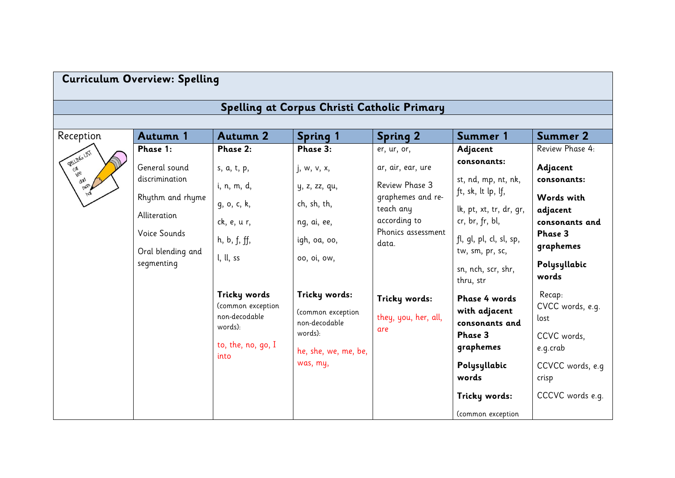| Curriculum Overview: Spelling |  |  |
|-------------------------------|--|--|
|-------------------------------|--|--|

## **Spelling at Corpus Christi Catholic Primary**

| Reception                         | <b>Autumn 1</b>                  | <b>Autumn 2</b>                   | <b>Spring 1</b>                    | <b>Spring 2</b>                                  | Summer 1                                   | <b>Summer 2</b>            |
|-----------------------------------|----------------------------------|-----------------------------------|------------------------------------|--------------------------------------------------|--------------------------------------------|----------------------------|
|                                   | Phase 1:                         | Phase 2:                          | Phase 3:                           | er, ur, or,                                      | Adjacent                                   | Review Phase 4:            |
| <b>SELLING LIST</b><br>day<br>man | General sound                    | s, a, t, p,                       | j, w, v, x,                        | ar, air, ear, ure                                | consonants:                                | Adjacent                   |
|                                   | discrimination                   | i, n, m, d,                       | y, z, zz, qu,                      | Review Phase 3<br>graphemes and re-<br>teach any | st, nd, mp, nt, nk,<br>ft, sk, lt lp, lf,  | consonants:<br>Words with  |
|                                   | Rhythm and rhyme<br>Alliteration | g, o, c, k,                       | ch, sh, th,                        |                                                  | lk, pt, xt, tr, dr, gr,                    | adjacent                   |
|                                   | Voice Sounds                     | ck, e, u r,<br>h, b, f, ff,       | ng, ai, ee,<br>igh, oa, oo,        | according to<br>Phonics assessment               | cr, br, fr, bl,<br>fl, gl, pl, cl, sl, sp, | consonants and<br>Phase 3  |
|                                   | Oral blending and<br>segmenting  | l, ll, ss                         | 00, 0i, 0W,                        | data.                                            | tw, sm, pr, sc,                            | graphemes                  |
|                                   |                                  |                                   |                                    |                                                  | sn, nch, scr, shr,<br>thru, str            | Polysyllabic<br>words      |
|                                   |                                  | Tricky words<br>(common exception | Tricky words:                      | Tricky words:                                    | Phase 4 words                              | Recap:<br>CVCC words, e.g. |
|                                   |                                  | non-decodable<br>words):          | (common exception<br>non-decodable | they, you, her, all,<br>are                      | with adjacent<br>consonants and            | lost                       |
|                                   |                                  | to, the, no, go, I                | words):<br>he, she, we, me, be,    |                                                  | Phase 3<br>graphemes                       | CCVC words,<br>e.g.crab    |
|                                   |                                  | into                              | was, my,                           |                                                  | Polysyllabic                               | CCVCC words, e.g.          |
|                                   |                                  |                                   |                                    |                                                  | words                                      | crisp                      |
|                                   |                                  |                                   |                                    |                                                  | Tricky words:                              | CCCVC words e.g.           |
|                                   |                                  |                                   |                                    |                                                  | (common exception                          |                            |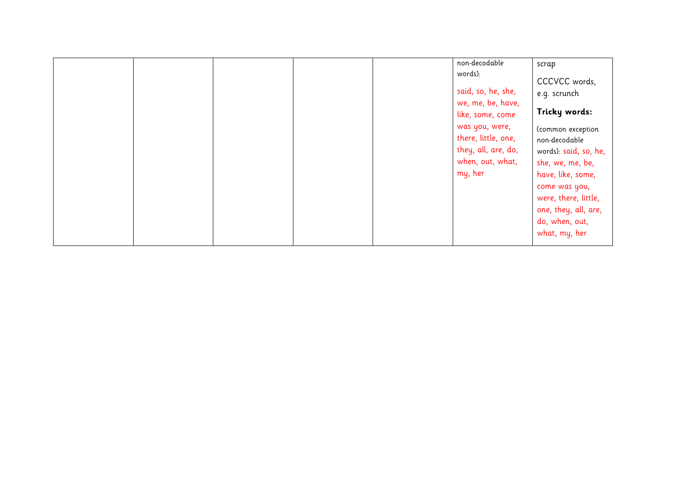|  |  | non-decodable<br>words):<br>said, so, he, she,<br>we, me, be, have,<br>like, some, come<br>was you, were,<br>there, little, one,<br>they, all, are, do,<br>when, out, what,<br>my, her | scrap<br>CCCVCC words,<br>e.g. scrunch<br>Tricky words:<br>(common exception<br>non-decodable<br>words): said, so, he,<br>she, we, me, be,<br>have, like, some,<br>come was you,<br>were, there, little,<br>one, they, all, are,<br>do, when, out, |
|--|--|----------------------------------------------------------------------------------------------------------------------------------------------------------------------------------------|----------------------------------------------------------------------------------------------------------------------------------------------------------------------------------------------------------------------------------------------------|
|  |  |                                                                                                                                                                                        | what, my, her                                                                                                                                                                                                                                      |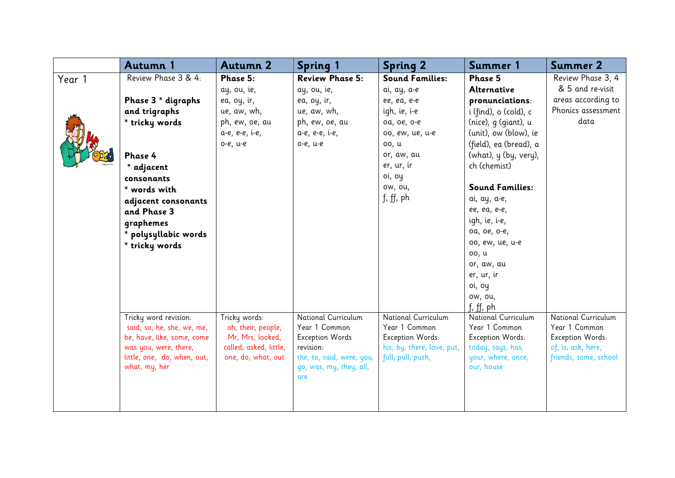|        | Autumn 1                                            | <b>Autumn 2</b>                     | <b>Spring 1</b>                      | <b>Spring 2</b>                      | Summer 1                             | <b>Summer 2</b>                      |
|--------|-----------------------------------------------------|-------------------------------------|--------------------------------------|--------------------------------------|--------------------------------------|--------------------------------------|
| Year 1 | Review Phase 3 & 4:                                 | Phase 5:                            | <b>Review Phase 5:</b>               | <b>Sound Families:</b>               | Phase 5                              | Review Phase 3, 4                    |
|        |                                                     | ay, ou, ie,                         | ay, ou, ie,                          | ai, ay, a-e                          | Alternative                          | & 5 and re-visit                     |
|        | Phase 3 * digraphs                                  | ea, oy, ir,                         | ea, oy, ir,                          | ee, ea, e-e                          | pronunciations:                      | areas according to                   |
|        | and trigraphs                                       | ue, aw, wh,                         | ue, aw, wh,                          | igh, ie, i-e                         | i (find), o (cold), c                | Phonics assessment                   |
|        | * tricky words                                      | ph, ew, oe, au                      | ph, ew, oe, au                       | oa, oe, o-e                          | (nice), g (giant), u                 | data                                 |
|        |                                                     | a-e, e-e, i-e,                      | a-e, e-e, i-e,                       | 00, ew, ue, u-e                      | (unit), ow (blow), ie                |                                      |
|        |                                                     | o-e, u-e                            | o-e, u-e                             | 00, u                                | (field), ea (bread), a               |                                      |
|        | Phase 4                                             |                                     |                                      | or, aw, au                           | (what), y (by, very),                |                                      |
|        | * adjacent                                          |                                     |                                      | er, ur, ir                           | ch (chemist)                         |                                      |
|        | consonants                                          |                                     |                                      | oi, oy                               |                                      |                                      |
|        | * words with                                        |                                     |                                      | ow, ou,                              | <b>Sound Families:</b>               |                                      |
|        | adjacent consonants                                 |                                     |                                      | f, ff, ph                            | ai, ay, a-e,                         |                                      |
|        | and Phase 3                                         |                                     |                                      |                                      | ee, ea, e-e,                         |                                      |
|        | graphemes                                           |                                     |                                      |                                      | igh, ie, i-e,                        |                                      |
|        | * polysyllabic words                                |                                     |                                      |                                      | oa, oe, o-e,                         |                                      |
|        | * tricky words                                      |                                     |                                      |                                      | 00, ew, ue, u-e                      |                                      |
|        |                                                     |                                     |                                      |                                      | 00, u                                |                                      |
|        |                                                     |                                     |                                      |                                      | or, aw, au                           |                                      |
|        |                                                     |                                     |                                      |                                      | er, ur, ir                           |                                      |
|        |                                                     |                                     |                                      |                                      | oi, oy                               |                                      |
|        |                                                     |                                     |                                      |                                      | ow, ou,                              |                                      |
|        |                                                     |                                     |                                      |                                      | f, ff, ph                            |                                      |
|        | Tricky word revision:<br>said, so, he, she, we, me, | Tricky words:<br>oh, their, people, | National Curriculum<br>Year 1 Common | National Curriculum<br>Year 1 Common | National Curriculum<br>Year 1 Common | National Curriculum<br>Year 1 Common |
|        | be, have, like, some, come                          | Mr, Mrs, looked,                    | <b>Exception Words</b>               | Exception Words:                     | Exception Words:                     | Exception Words:                     |
|        | was you, were, there,                               | called, asked, little,              | revision:                            | his, by, there, love, put,           | today, says, has,                    | of, is, ask, here,                   |
|        | little, one, do, when, out,                         | one, do, what, out                  | the, to, said, were, you,            | full, pull, push,                    | your, where, once,                   | friends, some, school                |
|        | what, my, her                                       |                                     | go, was, my, they, all,              |                                      | our, house                           |                                      |
|        |                                                     |                                     | are                                  |                                      |                                      |                                      |
|        |                                                     |                                     |                                      |                                      |                                      |                                      |
|        |                                                     |                                     |                                      |                                      |                                      |                                      |
|        |                                                     |                                     |                                      |                                      |                                      |                                      |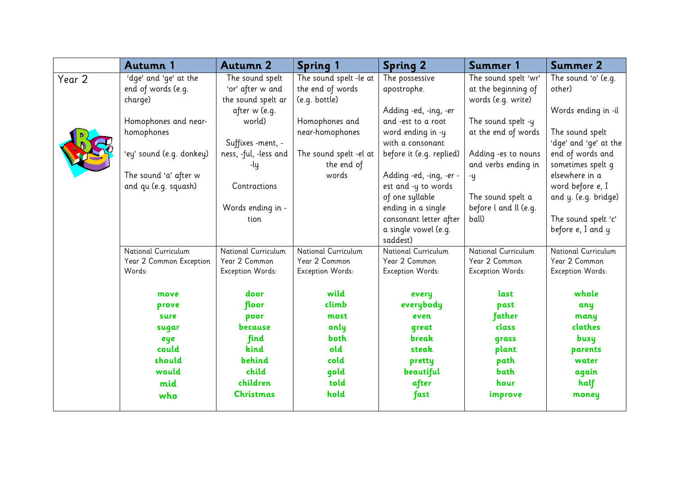|        | <b>Autumn 1</b>                   | <b>Autumn 2</b>                   | <b>Spring 1</b>                      | <b>Spring 2</b>                          | Summer 1                                   | <b>Summer 2</b>                           |
|--------|-----------------------------------|-----------------------------------|--------------------------------------|------------------------------------------|--------------------------------------------|-------------------------------------------|
| Year 2 | 'dge' and 'ge' at the             | The sound spelt                   | The sound spelt -le at               | The possessive                           | The sound spelt 'wr'                       | The sound 'o' (e.g.                       |
|        | end of words (e.g.                | 'or' after w and                  | the end of words                     | apostrophe.                              | at the beginning of                        | other)                                    |
|        | charge)                           | the sound spelt ar                | (e.g. bottle)                        |                                          | words (e.g. write)                         |                                           |
|        |                                   | after w (e.g.                     |                                      | Adding -ed, -ing, -er                    |                                            | Words ending in -il                       |
|        | Homophones and near-              | world)                            | Homophones and                       | and -est to a root                       | The sound spelt -y                         |                                           |
|        | homophones                        |                                   | near-homophones                      | word ending in -y                        | at the end of words                        | The sound spelt                           |
|        |                                   | Suffixes -ment, -                 |                                      | with a consonant                         |                                            | 'dge' and 'ge' at the<br>end of words and |
|        | 'ey' sound (e.g. donkey)          | ness, -ful, -less and<br>-ly      | The sound spelt -el at<br>the end of | before it (e.g. replied)                 | Adding -es to nouns<br>and verbs ending in | sometimes spelt q                         |
|        | The sound 'a' after w             |                                   | words                                | Adding -ed, -ing, -er -                  | -y                                         | elsewhere in a                            |
|        | and qu (e.g. squash)              | Contractions                      |                                      | est and -y to words                      |                                            | word before e, I                          |
|        |                                   |                                   |                                      | of one syllable                          | The sound spelt a                          | and y. (e.g. bridge)                      |
|        |                                   | Words ending in -                 |                                      | ending in a single                       | before I and II (e.g.                      |                                           |
|        |                                   | tion                              |                                      | consonant letter after                   | ball)                                      | The sound spelt 'c'                       |
|        |                                   |                                   |                                      | a single vowel (e.g.                     |                                            | before e, I and y                         |
|        |                                   |                                   |                                      | saddest)                                 |                                            |                                           |
|        | National Curriculum               | National Curriculum               | National Curriculum                  | National Curriculum                      | National Curriculum                        | National Curriculum                       |
|        | Year 2 Common Exception<br>Words: | Year 2 Common<br>Exception Words: | Year 2 Common<br>Exception Words:    | Year 2 Common<br><b>Exception Words:</b> | Year 2 Common<br>Exception Words:          | Year 2 Common<br><b>Exception Words:</b>  |
|        |                                   |                                   |                                      |                                          |                                            |                                           |
|        | move                              | door                              | wild                                 | every                                    | last                                       | whole                                     |
|        | prove                             | floor                             | climb                                | everybody                                | past                                       | any                                       |
|        | sure                              | poor                              | most                                 | even                                     | father                                     | many                                      |
|        | sugar                             | because                           | only                                 | qreat                                    | class                                      | clothes                                   |
|        | eye                               | find                              | both                                 | break                                    | grass                                      | busy                                      |
|        | could                             | kind                              | old                                  | steak                                    | plant                                      | parents                                   |
|        | should                            | behind                            | cold                                 | pretty                                   | path                                       | water                                     |
|        | would                             | child                             | gold                                 | beautiful                                | bath                                       | again                                     |
|        | mid                               | children                          | told                                 | after                                    | hour                                       | half                                      |
|        | who                               | <b>Christmas</b>                  | hold                                 | fast                                     | improve                                    | money                                     |
|        |                                   |                                   |                                      |                                          |                                            |                                           |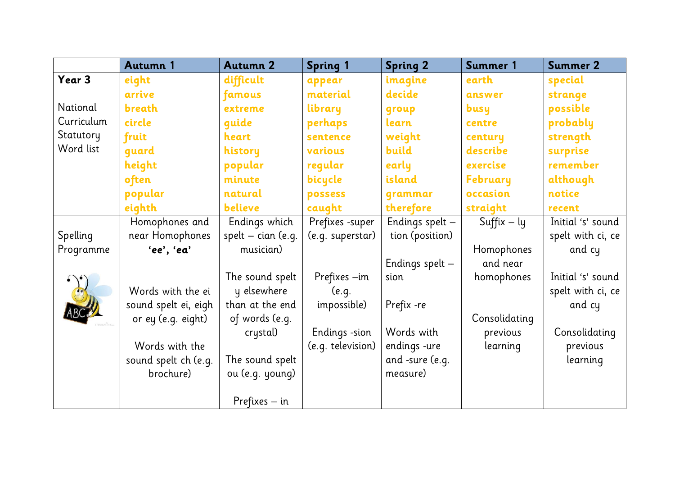|            | <b>Autumn 1</b>      | <b>Autumn 2</b>      | <b>Spring 1</b>   | <b>Spring 2</b>   | Summer 1        | <b>Summer 2</b>   |
|------------|----------------------|----------------------|-------------------|-------------------|-----------------|-------------------|
| Year 3     | eight                | difficult            | appear            | imagine           | earth           | special           |
|            | arrive               | famous               | material          | decide            | answer          | strange           |
| National   | breath               | extreme              | library           | qroup             | busy            | possible          |
| Curriculum | circle               | quide                | perhaps           | learn             | centre          | probably          |
| Statutory  | fruit                | heart                | sentence          | weight            | century         | strength          |
| Word list  | quard                | history              | various           | build             | describe        | surprise          |
|            | height               | popular              | regular           | early             | exercise        | remember          |
|            | often                | minute               | bicycle           | island            | <b>February</b> | although          |
|            | popular              | natural              | possess           | qrammar           | occasion        | notice            |
|            | eighth               | believe              | caught            | therefore         | straight        | recent            |
|            | Homophones and       | Endings which        | Prefixes -super   | Endings spelt $-$ | $Suffix - ly$   | Initial 's' sound |
| Spelling   | near Homophones      | spelt $-$ cian (e.g. | (e.g. superstar)  | tion (position)   |                 | spelt with ci, ce |
| Programme  | 'ee', 'ea'           | musician)            |                   |                   | Homophones      | and cy            |
|            |                      |                      |                   | Endings spelt -   | and near        |                   |
|            |                      | The sound spelt      | Prefixes -im      | sion              | homophones      | Initial 's' sound |
|            | Words with the ei    | y elsewhere          | (e.q.             |                   |                 | spelt with ci, ce |
|            | sound spelt ei, eigh | than at the end      | impossible)       | Prefix -re        |                 | and cy            |
|            | or ey (e.g. eight)   | of words (e.g.       |                   |                   | Consolidating   |                   |
|            |                      | crystal)             | Endings -sion     | Words with        | previous        | Consolidating     |
|            | Words with the       |                      | (e.g. television) | endings -ure      | learning        | previous          |
|            | sound spelt ch (e.g. | The sound spelt      |                   | and -sure (e.g.   |                 | learning          |
|            | brochure)            | ou (e.g. young)      |                   | measure)          |                 |                   |
|            |                      |                      |                   |                   |                 |                   |
|            |                      | $Prefixes - in$      |                   |                   |                 |                   |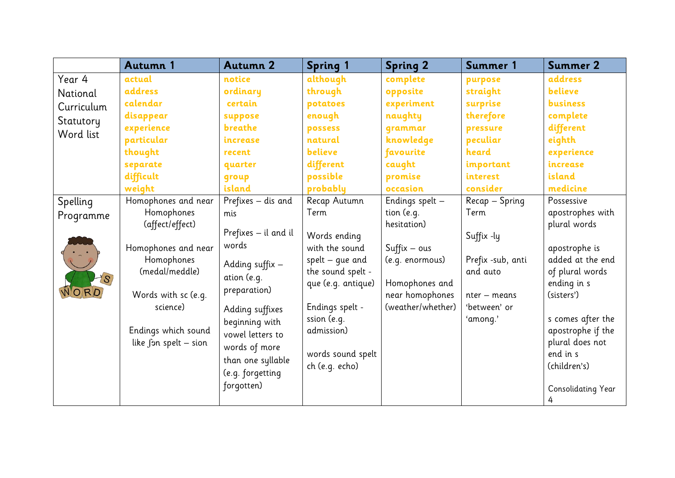|            | <b>Autumn 1</b>       | <b>Autumn 2</b>      | <b>Spring 1</b>    | <b>Spring 2</b>   | Summer 1          | <b>Summer 2</b>    |
|------------|-----------------------|----------------------|--------------------|-------------------|-------------------|--------------------|
| Year 4     | actual                | notice               | although           | complete          | purpose           | address            |
| National   | address               | ordinary             | through            | opposite          | straight          | believe            |
| Curriculum | calendar              | certain              | potatoes           | experiment        | surprise          | <b>business</b>    |
| Statutory  | disappear             | suppose              | enough             | naughty           | therefore         | complete           |
| Word list  | experience            | breathe              | possess            | qrammar           | pressure          | different          |
|            | particular            | increase             | natural            | knowledge         | peculiar          | eighth             |
|            | thought               | recent               | believe            | favourite         | heard             | experience         |
|            | separate              | quarter              | different          | caught            | important         | increase           |
|            | difficult             | qroup                | possible           | promise           | interest          | island             |
|            | weight                | island               | probably           | occasion          | consider          | medicine           |
| Spelling   | Homophones and near   | Prefixes - dis and   | Recap Autumn       | Endings spelt -   | Recap - Spring    | Possessive         |
| Programme  | Homophones            | mis                  | Term               | tion (e.g.        | Term              | apostrophes with   |
|            | (affect/effect)       |                      |                    | hesitation)       |                   | plural words       |
|            |                       | Prefixes - il and il | Words ending       |                   | Suffix -ly        |                    |
|            | Homophones and near   | words                | with the sound     | $Suffix - ous$    |                   | apostrophe is      |
|            | Homophones            | Adding suffix -      | spelt $-$ que and  | (e.g. enormous)   | Prefix -sub, anti | added at the end   |
|            | (medal/meddle)        | ation (e.g.          | the sound spelt -  |                   | and auto          | of plural words    |
|            |                       | preparation)         | que (e.g. antique) | Homophones and    |                   | ending in s        |
| NORD       | Words with sc (e.g.   |                      |                    | near homophones   | nter – means      | (sisters')         |
|            | science)              | Adding suffixes      | Endings spelt -    | (weather/whether) | 'between' or      |                    |
|            |                       | beginning with       | ssion (e.g.        |                   | 'among.'          | s comes after the  |
|            | Endings which sound   | vowel letters to     | admission)         |                   |                   | apostrophe if the  |
|            | like fon spelt - sion | words of more        |                    |                   |                   | plural does not    |
|            |                       | than one syllable    | words sound spelt  |                   |                   | end in s           |
|            |                       | (e.g. forgetting     | ch (e.g. echo)     |                   |                   | (children's)       |
|            |                       | forgotten)           |                    |                   |                   |                    |
|            |                       |                      |                    |                   |                   | Consolidating Year |
|            |                       |                      |                    |                   |                   | 4                  |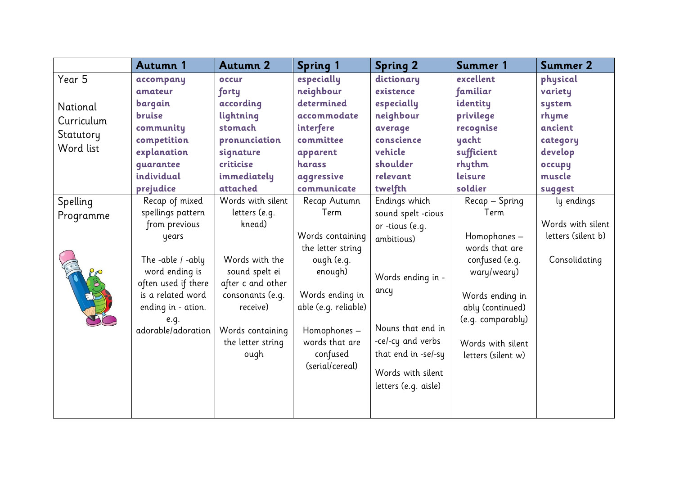|            | Autumn 1            | <b>Autumn 2</b>   | <b>Spring 1</b>             | <b>Spring 2</b>      | Summer 1           | Summer 2           |
|------------|---------------------|-------------------|-----------------------------|----------------------|--------------------|--------------------|
| Year 5     | accompany           | occur             | especially                  | dictionary           | excellent          | physical           |
|            | amateur             | forty             | neighbour                   | existence            | familiar           | variety            |
| National   | bargain             | according         | determined                  | especially           | identity           | system             |
| Curriculum | <b>bruise</b>       | lightning         | accommodate                 | neighbour            | privilege          | rhyme              |
|            | community           | stomach           | interfere                   | average              | recognise          | ancient            |
| Statutory  | competition         | pronunciation     | committee                   | conscience           | yacht              | category           |
| Word list  | explanation         | signature         | apparent                    | vehicle              | sufficient         | develop            |
|            | quarantee           | criticise         | harass                      | shoulder             | rhythm             | occupy             |
|            | individual          | immediately       | aggressive                  | relevant             | leisure            | muscle             |
|            | prejudice           | attached          | communicate                 | twelfth              | soldier            | suggest            |
| Spelling   | Recap of mixed      | Words with silent | Recap Autumn                | Endings which        | Recap - Spring     | ly endings         |
| Programme  | spellings pattern   | letters (e.g.     | Term                        | sound spelt -cious   | Term               |                    |
|            | from previous       | knead)            |                             | or -tious (e.g.      |                    | Words with silent  |
|            | years               |                   | Words containing            | ambitious)           | Homophones -       | letters (silent b) |
|            |                     |                   | the letter string           |                      | words that are     |                    |
|            | The -able / -ably   | Words with the    | ough (e.g.                  |                      | confused (e.g.     | Consolidating      |
|            | word ending is      | sound spelt ei    | enough)                     | Words ending in -    | wary/weary)        |                    |
|            | often used if there | after c and other |                             | ancy                 |                    |                    |
|            | is a related word   | consonants (e.g.  | Words ending in             |                      | Words ending in    |                    |
|            | ending in - ation.  | receive)          | able (e.g. reliable)        |                      | ably (continued)   |                    |
|            | e.g.                |                   |                             | Nouns that end in    | (e.g. comparably)  |                    |
|            | adorable/adoration  | Words containing  | Homophones -                |                      |                    |                    |
|            |                     | the letter string | words that are              | -ce/-cy and verbs    | Words with silent  |                    |
|            |                     | ough              | confused<br>(serial/cereal) | that end in -se/-sy  | letters (silent w) |                    |
|            |                     |                   |                             | Words with silent    |                    |                    |
|            |                     |                   |                             | letters (e.g. aisle) |                    |                    |
|            |                     |                   |                             |                      |                    |                    |
|            |                     |                   |                             |                      |                    |                    |